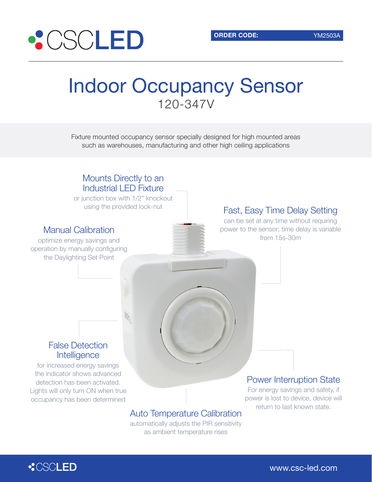

# Indoor Occupancy Sensor 120-347V

Fixture mounted occupancy sensor specially designed for high mounted areas such as warehouses, manufacturing and other high ceiling applications



## Auto Temperature Calibration

automatically adjusts the PIR sensitivity as ambient temperature rises